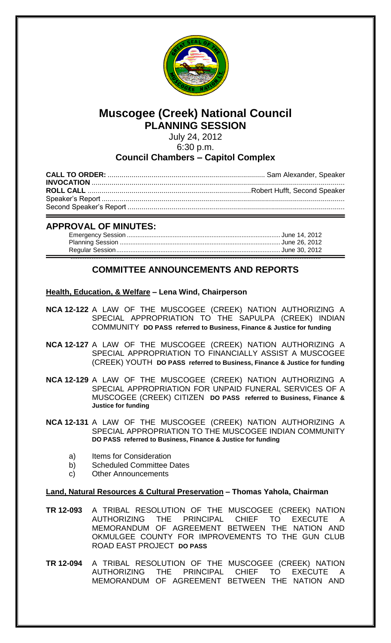

# **Muscogee (Creek) National Council PLANNING SESSION**

July 24, 2012 6:30 p.m.

# **Council Chambers – Capitol Complex**

# **APPROVAL OF MINUTES:**

# **COMMITTEE ANNOUNCEMENTS AND REPORTS**

# **Health, Education, & Welfare – Lena Wind, Chairperson**

- **NCA 12-122** A LAW OF THE MUSCOGEE (CREEK) NATION AUTHORIZING A SPECIAL APPROPRIATION TO THE SAPULPA (CREEK) INDIAN COMMUNITY **DO PASS referred to Business, Finance & Justice for funding**
- **NCA 12-127** A LAW OF THE MUSCOGEE (CREEK) NATION AUTHORIZING A SPECIAL APPROPRIATION TO FINANCIALLY ASSIST A MUSCOGEE (CREEK) YOUTH **DO PASS referred to Business, Finance & Justice for funding**
- **NCA 12-129** A LAW OF THE MUSCOGEE (CREEK) NATION AUTHORIZING A SPECIAL APPROPRIATION FOR UNPAID FUNERAL SERVICES OF A MUSCOGEE (CREEK) CITIZEN **DO PASS referred to Business, Finance & Justice for funding**

**NCA 12-131** A LAW OF THE MUSCOGEE (CREEK) NATION AUTHORIZING A SPECIAL APPROPRIATION TO THE MUSCOGEE INDIAN COMMUNITY **DO PASS referred to Business, Finance & Justice for funding**

- a) Items for Consideration
- b) Scheduled Committee Dates
- c) Other Announcements

## **Land, Natural Resources & Cultural Preservation – Thomas Yahola, Chairman**

- **TR 12-093** A TRIBAL RESOLUTION OF THE MUSCOGEE (CREEK) NATION AUTHORIZING THE PRINCIPAL CHIEF TO EXECUTE A MEMORANDUM OF AGREEMENT BETWEEN THE NATION AND OKMULGEE COUNTY FOR IMPROVEMENTS TO THE GUN CLUB ROAD EAST PROJECT **DO PASS**
- **TR 12-094** A TRIBAL RESOLUTION OF THE MUSCOGEE (CREEK) NATION AUTHORIZING THE PRINCIPAL CHIEF TO EXECUTE A MEMORANDUM OF AGREEMENT BETWEEN THE NATION AND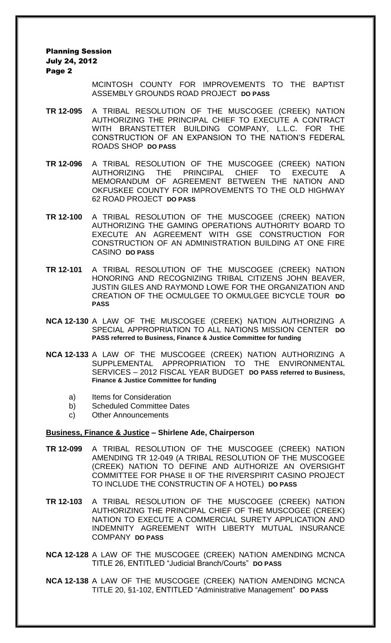Planning Session July 24, 2012 Page 2

> MCINTOSH COUNTY FOR IMPROVEMENTS TO THE BAPTIST ASSEMBLY GROUNDS ROAD PROJECT **DO PASS**

- **TR 12-095** A TRIBAL RESOLUTION OF THE MUSCOGEE (CREEK) NATION AUTHORIZING THE PRINCIPAL CHIEF TO EXECUTE A CONTRACT WITH BRANSTETTER BUILDING COMPANY, L.L.C. FOR THE CONSTRUCTION OF AN EXPANSION TO THE NATION'S FEDERAL ROADS SHOP **DO PASS**
- **TR 12-096** A TRIBAL RESOLUTION OF THE MUSCOGEE (CREEK) NATION AUTHORIZING THE PRINCIPAL CHIEF TO EXECUTE A MEMORANDUM OF AGREEMENT BETWEEN THE NATION AND OKFUSKEE COUNTY FOR IMPROVEMENTS TO THE OLD HIGHWAY 62 ROAD PROJECT **DO PASS**
- **TR 12-100** A TRIBAL RESOLUTION OF THE MUSCOGEE (CREEK) NATION AUTHORIZING THE GAMING OPERATIONS AUTHORITY BOARD TO EXECUTE AN AGREEMENT WITH GSE CONSTRUCTION FOR CONSTRUCTION OF AN ADMINISTRATION BUILDING AT ONE FIRE CASINO **DO PASS**
- **TR 12-101** A TRIBAL RESOLUTION OF THE MUSCOGEE (CREEK) NATION HONORING AND RECOGNIZING TRIBAL CITIZENS JOHN BEAVER, JUSTIN GILES AND RAYMOND LOWE FOR THE ORGANIZATION AND CREATION OF THE OCMULGEE TO OKMULGEE BICYCLE TOUR **DO PASS**
- **NCA 12-130** A LAW OF THE MUSCOGEE (CREEK) NATION AUTHORIZING A SPECIAL APPROPRIATION TO ALL NATIONS MISSION CENTER **DO PASS referred to Business, Finance & Justice Committee for funding**
- **NCA 12-133** A LAW OF THE MUSCOGEE (CREEK) NATION AUTHORIZING A SUPPLEMENTAL APPROPRIATION TO THE ENVIRONMENTAL SERVICES – 2012 FISCAL YEAR BUDGET **DO PASS referred to Business, Finance & Justice Committee for funding**
	- a) Items for Consideration
	- b) Scheduled Committee Dates
	- c) Other Announcements

#### **Business, Finance & Justice – Shirlene Ade, Chairperson**

- **TR 12-099** A TRIBAL RESOLUTION OF THE MUSCOGEE (CREEK) NATION AMENDING TR 12-049 (A TRIBAL RESOLUTION OF THE MUSCOGEE (CREEK) NATION TO DEFINE AND AUTHORIZE AN OVERSIGHT COMMITTEE FOR PHASE II OF THE RIVERSPIRIT CASINO PROJECT TO INCLUDE THE CONSTRUCTIN OF A HOTEL) **DO PASS**
- **TR 12-103** A TRIBAL RESOLUTION OF THE MUSCOGEE (CREEK) NATION AUTHORIZING THE PRINCIPAL CHIEF OF THE MUSCOGEE (CREEK) NATION TO EXECUTE A COMMERCIAL SURETY APPLICATION AND INDEMNITY AGREEMENT WITH LIBERTY MUTUAL INSURANCE COMPANY **DO PASS**
- **NCA 12-128** A LAW OF THE MUSCOGEE (CREEK) NATION AMENDING MCNCA TITLE 26, ENTITLED "Judicial Branch/Courts" **DO PASS**
- **NCA 12-138** A LAW OF THE MUSCOGEE (CREEK) NATION AMENDING MCNCA TITLE 20, §1-102, ENTITLED "Administrative Management" **DO PASS**